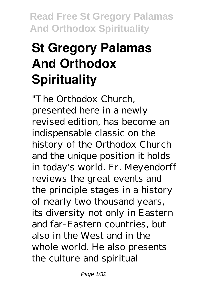# **St Gregory Palamas And Orthodox Spirituality**

"The Orthodox Church, presented here in a newly revised edition, has become an indispensable classic on the history of the Orthodox Church and the unique position it holds in today's world. Fr. Meyendorff reviews the great events and the principle stages in a history of nearly two thousand years, its diversity not only in Eastern and far-Eastern countries, but also in the West and in the whole world. He also presents the culture and spiritual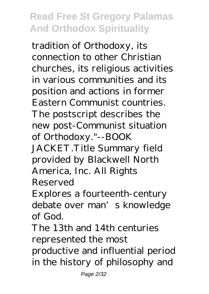tradition of Orthodoxy, its connection to other Christian churches, its religious activities in various communities and its position and actions in former Eastern Communist countries. The postscript describes the new post-Communist situation of Orthodoxy."--BOOK JACKET.Title Summary field provided by Blackwell North America, Inc. All Rights Reserved

Explores a fourteenth-century debate over man's knowledge of God.

The 13th and 14th centuries represented the most

productive and influential period in the history of philosophy and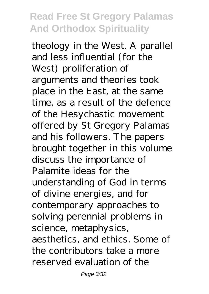theology in the West. A parallel and less influential (for the West) proliferation of arguments and theories took place in the East, at the same time, as a result of the defence of the Hesychastic movement offered by St Gregory Palamas and his followers. The papers brought together in this volume discuss the importance of Palamite ideas for the understanding of God in terms of divine energies, and for contemporary approaches to solving perennial problems in science, metaphysics, aesthetics, and ethics. Some of the contributors take a more reserved evaluation of the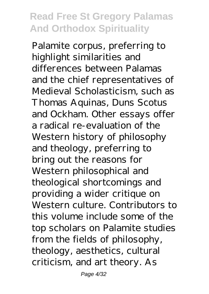Palamite corpus, preferring to highlight similarities and differences between Palamas and the chief representatives of Medieval Scholasticism, such as Thomas Aquinas, Duns Scotus and Ockham. Other essays offer a radical re-evaluation of the Western history of philosophy and theology, preferring to bring out the reasons for Western philosophical and theological shortcomings and providing a wider critique on Western culture. Contributors to this volume include some of the top scholars on Palamite studies from the fields of philosophy, theology, aesthetics, cultural criticism, and art theory. As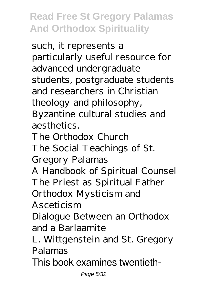such, it represents a particularly useful resource for advanced undergraduate students, postgraduate students and researchers in Christian theology and philosophy, Byzantine cultural studies and aesthetics. The Orthodox Church The Social Teachings of St. Gregory Palamas A Handbook of Spiritual Counsel The Priest as Spiritual Father Orthodox Mysticism and Asceticism Dialogue Between an Orthodox and a Barlaamite L. Wittgenstein and St. Gregory Palamas This book examines twentieth-

Page 5/32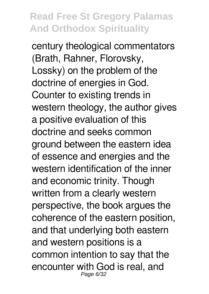century theological commentators (Brath, Rahner, Florovsky, Lossky) on the problem of the doctrine of energies in God. Counter to existing trends in western theology, the author gives a positive evaluation of this doctrine and seeks common ground between the eastern idea of essence and energies and the western identification of the inner and economic trinity. Though written from a clearly western perspective, the book argues the coherence of the eastern position, and that underlying both eastern and western positions is a common intention to say that the encounter with God is real, and Page 6/32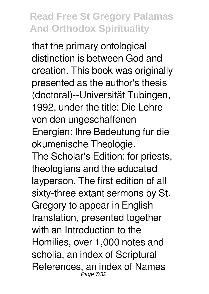that the primary ontological distinction is between God and creation. This book was originally presented as the author's thesis (doctoral)--Universität Tubingen, 1992, under the title: Die Lehre von den ungeschaffenen Energien: Ihre Bedeutung fur die okumenische Theologie. The Scholar's Edition: for priests, theologians and the educated layperson. The first edition of all sixty-three extant sermons by St. Gregory to appear in English translation, presented together with an Introduction to the Homilies, over 1,000 notes and scholia, an index of Scriptural References, an index of Names Page 7/32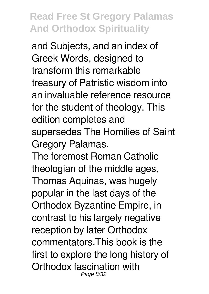and Subjects, and an index of Greek Words, designed to transform this remarkable treasury of Patristic wisdom into an invaluable reference resource for the student of theology. This edition completes and supersedes The Homilies of Saint Gregory Palamas.

The foremost Roman Catholic theologian of the middle ages, Thomas Aquinas, was hugely popular in the last days of the Orthodox Byzantine Empire, in contrast to his largely negative reception by later Orthodox commentators.This book is the first to explore the long history of Orthodox fascination with Page 8/32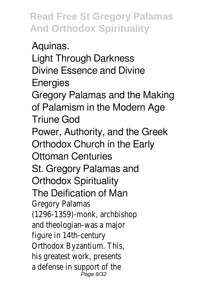Aquinas. Light Through Darkness Divine Essence and Divine **Energies** Gregory Palamas and the Making of Palamism in the Modern Age Triune God Power, Authority, and the Greek Orthodox Church in the Early Ottoman Centuries St. Gregory Palamas and Orthodox Spirituality The Deification of Man Gregory Palamas (1296-1359)-monk, archbishop and theologian-was a major figure in 14th-century Orthodox Byzantium. This, his greatest work, presents a defense in support of the Page 9/32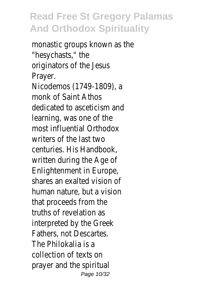monastic groups known as the "hesychasts," the originators of the Jesus Prayer. Nicodemos (1749-1809), a monk of Saint Athos dedicated to asceticism and learning, was one of the most influential Orthodox writers of the last two centuries. His Handbook, written during the Age of Enlightenment in Europe, shares an exalted vision of human nature, but a vision that proceeds from the truths of revelation as interpreted by the Greek Fathers, not Descartes. The Philokalia is a collection of texts on prayer and the spiritual Page 10/32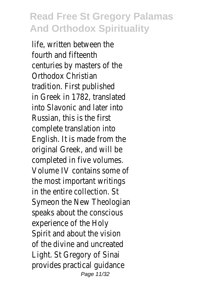life, written between the fourth and fifteenth centuries by masters of the Orthodox Christian tradition. First published in Greek in 1782, translated into Slavonic and later into Russian, this is the first complete translation into English. It is made from the original Greek, and will be completed in five volumes. Volume IV contains some of the most important writings in the entire collection. St Symeon the New Theologian speaks about the conscious experience of the Holy Spirit and about the vision of the divine and uncreated Light. St Gregory of Sinai provides practical guidance Page 11/32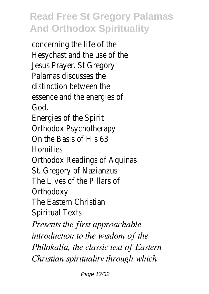concerning the life of the Hesychast and the use of the Jesus Prayer. St Gregory Palamas discusses the distinction between the essence and the energies of God.

Energies of the Spirit Orthodox Psychotherapy On the Basis of His 63 Homilies

Orthodox Readings of Aquinas

St. Gregory of Nazianzus The Lives of the Pillars of

**Orthodoxy** 

The Eastern Christian

Spiritual Texts

*Presents the first approachable introduction to the wisdom of the Philokalia, the classic text of Eastern Christian spirituality through which*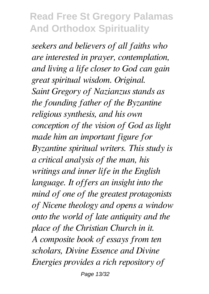*seekers and believers of all faiths who are interested in prayer, contemplation, and living a life closer to God can gain great spiritual wisdom. Original. Saint Gregory of Nazianzus stands as the founding father of the Byzantine religious synthesis, and his own conception of the vision of God as light made him an important figure for Byzantine spiritual writers. This study is a critical analysis of the man, his writings and inner life in the English language. It offers an insight into the mind of one of the greatest protagonists of Nicene theology and opens a window onto the world of late antiquity and the place of the Christian Church in it. A composite book of essays from ten scholars, Divine Essence and Divine Energies provides a rich repository of*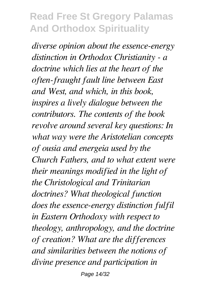*diverse opinion about the essence-energy distinction in Orthodox Christianity - a doctrine which lies at the heart of the often-fraught fault line between East and West, and which, in this book, inspires a lively dialogue between the contributors. The contents of the book revolve around several key questions: In what way were the Aristotelian concepts of ousia and energeia used by the Church Fathers, and to what extent were their meanings modified in the light of the Christological and Trinitarian doctrines? What theological function does the essence-energy distinction fulfil in Eastern Orthodoxy with respect to theology, anthropology, and the doctrine of creation? What are the differences and similarities between the notions of divine presence and participation in*

Page 14/32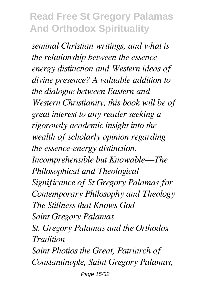*seminal Christian writings, and what is the relationship between the essenceenergy distinction and Western ideas of divine presence? A valuable addition to the dialogue between Eastern and Western Christianity, this book will be of great interest to any reader seeking a rigorously academic insight into the wealth of scholarly opinion regarding the essence-energy distinction. Incomprehensible but Knowable—The Philosophical and Theological Significance of St Gregory Palamas for Contemporary Philosophy and Theology The Stillness that Knows God Saint Gregory Palamas St. Gregory Palamas and the Orthodox Tradition Saint Photios the Great, Patriarch of Constantinople, Saint Gregory Palamas,* Page 15/32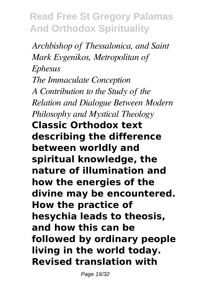*Archbishop of Thessalonica, and Saint Mark Evgenikos, Metropolitan of Ephesus The Immaculate Conception A Contribution to the Study of the Relation and Dialogue Between Modern Philosophy and Mystical Theology* **Classic Orthodox text describing the difference between worldly and spiritual knowledge, the nature of illumination and how the energies of the divine may be encountered. How the practice of hesychia leads to theosis, and how this can be followed by ordinary people living in the world today. Revised translation with**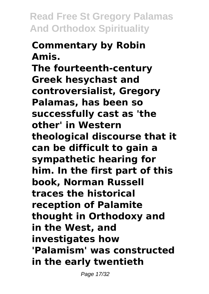# **Commentary by Robin Amis.**

**The fourteenth-century Greek hesychast and controversialist, Gregory Palamas, has been so successfully cast as 'the other' in Western theological discourse that it can be difficult to gain a sympathetic hearing for him. In the first part of this book, Norman Russell traces the historical reception of Palamite thought in Orthodoxy and in the West, and investigates how 'Palamism' was constructed in the early twentieth**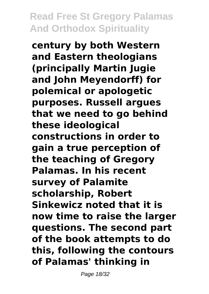**century by both Western and Eastern theologians (principally Martin Jugie and John Meyendorff) for polemical or apologetic purposes. Russell argues that we need to go behind these ideological constructions in order to gain a true perception of the teaching of Gregory Palamas. In his recent survey of Palamite scholarship, Robert Sinkewicz noted that it is now time to raise the larger questions. The second part of the book attempts to do this, following the contours of Palamas' thinking in**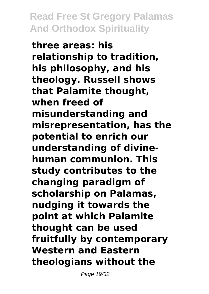**three areas: his relationship to tradition, his philosophy, and his theology. Russell shows that Palamite thought, when freed of misunderstanding and misrepresentation, has the potential to enrich our understanding of divinehuman communion. This study contributes to the changing paradigm of scholarship on Palamas, nudging it towards the point at which Palamite thought can be used fruitfully by contemporary Western and Eastern theologians without the**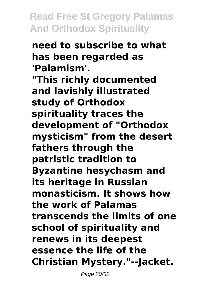#### **need to subscribe to what has been regarded as 'Palamism'.**

**"This richly documented and lavishly illustrated study of Orthodox spirituality traces the development of "Orthodox mysticism" from the desert fathers through the patristic tradition to Byzantine hesychasm and its heritage in Russian monasticism. It shows how the work of Palamas transcends the limits of one school of spirituality and renews in its deepest essence the life of the Christian Mystery."--Jacket.**

Page 20/32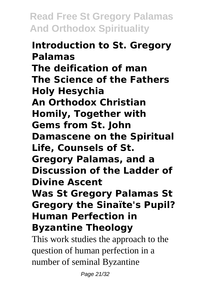#### **Introduction to St. Gregory Palamas The deification of man The Science of the Fathers Holy Hesychia An Orthodox Christian Homily, Together with Gems from St. John Damascene on the Spiritual Life, Counsels of St. Gregory Palamas, and a Discussion of the Ladder of Divine Ascent Was St Gregory Palamas St Gregory the Sinaïte's Pupil? Human Perfection in Byzantine Theology**

This work studies the approach to the question of human perfection in a number of seminal Byzantine

Page 21/32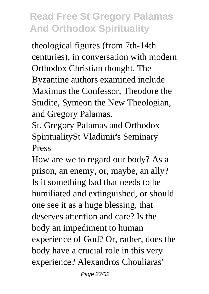theological figures (from 7th-14th centuries), in conversation with modern Orthodox Christian thought. The Byzantine authors examined include Maximus the Confessor, Theodore the Studite, Symeon the New Theologian, and Gregory Palamas.

St. Gregory Palamas and Orthodox SpiritualitySt Vladimir's Seminary Press

How are we to regard our body? As a prison, an enemy, or, maybe, an ally? Is it something bad that needs to be humiliated and extinguished, or should one see it as a huge blessing, that deserves attention and care? Is the body an impediment to human experience of God? Or, rather, does the body have a crucial role in this very experience? Alexandros Chouliaras'

Page 22/32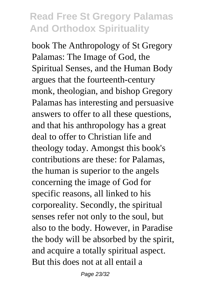book The Anthropology of St Gregory Palamas: The Image of God, the Spiritual Senses, and the Human Body argues that the fourteenth-century monk, theologian, and bishop Gregory Palamas has interesting and persuasive answers to offer to all these questions, and that his anthropology has a great deal to offer to Christian life and theology today. Amongst this book's contributions are these: for Palamas, the human is superior to the angels concerning the image of God for specific reasons, all linked to his corporeality. Secondly, the spiritual senses refer not only to the soul, but also to the body. However, in Paradise the body will be absorbed by the spirit, and acquire a totally spiritual aspect. But this does not at all entail a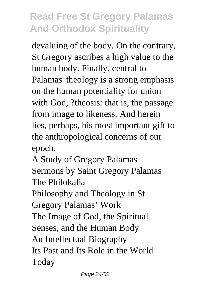devaluing of the body. On the contrary, St Gregory ascribes a high value to the human body. Finally, central to Palamas' theology is a strong emphasis on the human potentiality for union with God, ?theosis: that is, the passage from image to likeness. And herein lies, perhaps, his most important gift to the anthropological concerns of our epoch.

A Study of Gregory Palamas Sermons by Saint Gregory Palamas The Philokalia

Philosophy and Theology in St Gregory Palamas' Work The Image of God, the Spiritual Senses, and the Human Body An Intellectual Biography Its Past and Its Role in the World Today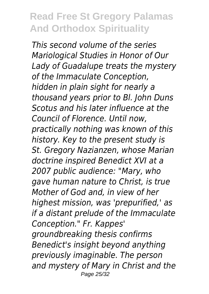*This second volume of the series Mariological Studies in Honor of Our Lady of Guadalupe treats the mystery of the Immaculate Conception, hidden in plain sight for nearly a thousand years prior to Bl. John Duns Scotus and his later influence at the Council of Florence. Until now, practically nothing was known of this history. Key to the present study is St. Gregory Nazianzen, whose Marian doctrine inspired Benedict XVI at a 2007 public audience: "Mary, who gave human nature to Christ, is true Mother of God and, in view of her highest mission, was 'prepurified,' as if a distant prelude of the Immaculate Conception." Fr. Kappes' groundbreaking thesis confirms Benedict's insight beyond anything previously imaginable. The person and mystery of Mary in Christ and the* Page 25/32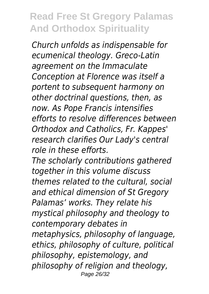*Church unfolds as indispensable for ecumenical theology. Greco-Latin agreement on the Immaculate Conception at Florence was itself a portent to subsequent harmony on other doctrinal questions, then, as now. As Pope Francis intensifies efforts to resolve differences between Orthodox and Catholics, Fr. Kappes' research clarifies Our Lady's central role in these efforts.*

*The scholarly contributions gathered together in this volume discuss themes related to the cultural, social and ethical dimension of St Gregory Palamas' works. They relate his mystical philosophy and theology to contemporary debates in metaphysics, philosophy of language, ethics, philosophy of culture, political philosophy, epistemology, and philosophy of religion and theology,* Page 26/32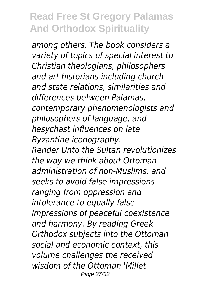*among others. The book considers a variety of topics of special interest to Christian theologians, philosophers and art historians including church and state relations, similarities and differences between Palamas, contemporary phenomenologists and philosophers of language, and hesychast influences on late Byzantine iconography. Render Unto the Sultan revolutionizes the way we think about Ottoman administration of non-Muslims, and seeks to avoid false impressions ranging from oppression and intolerance to equally false impressions of peaceful coexistence and harmony. By reading Greek Orthodox subjects into the Ottoman social and economic context, this volume challenges the received wisdom of the Ottoman 'Millet* Page 27/32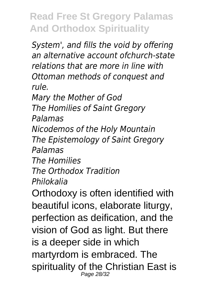*System', and fills the void by offering an alternative account ofchurch-state relations that are more in line with Ottoman methods of conquest and rule.*

*Mary the Mother of God*

*The Homilies of Saint Gregory*

*Palamas*

*Nicodemos of the Holy Mountain The Epistemology of Saint Gregory Palamas*

*The Homilies The Orthodox Tradition Philokalia*

Orthodoxy is often identified with beautiful icons, elaborate liturgy, perfection as deification, and the vision of God as light. But there is a deeper side in which martyrdom is embraced. The spirituality of the Christian East is Page 28/32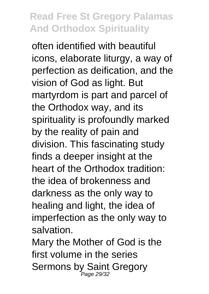often identified with beautiful icons, elaborate liturgy, a way of perfection as deification, and the vision of God as light. But martyrdom is part and parcel of the Orthodox way, and its spirituality is profoundly marked by the reality of pain and division. This fascinating study finds a deeper insight at the heart of the Orthodox tradition: the idea of brokenness and darkness as the only way to healing and light, the idea of imperfection as the only way to salvation.

Mary the Mother of God is the first volume in the series Sermons by Saint Gregory Page 29/32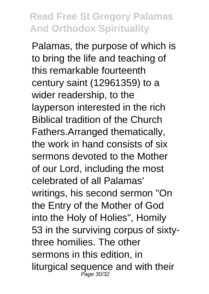Palamas, the purpose of which is to bring the life and teaching of this remarkable fourteenth century saint (12961359) to a wider readership, to the layperson interested in the rich Biblical tradition of the Church Fathers.Arranged thematically, the work in hand consists of six sermons devoted to the Mother of our Lord, including the most celebrated of all Palamas' writings, his second sermon "On the Entry of the Mother of God into the Holy of Holies", Homily 53 in the surviving corpus of sixtythree homilies. The other sermons in this edition, in liturgical sequence and with their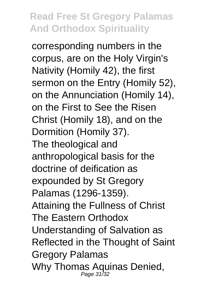corresponding numbers in the corpus, are on the Holy Virgin's Nativity (Homily 42), the first sermon on the Entry (Homily 52), on the Annunciation (Homily 14), on the First to See the Risen Christ (Homily 18), and on the Dormition (Homily 37). The theological and anthropological basis for the doctrine of deification as expounded by St Gregory Palamas (1296-1359). Attaining the Fullness of Christ The Eastern Orthodox Understanding of Salvation as Reflected in the Thought of Saint Gregory Palamas Why Thomas Aquinas Denied,